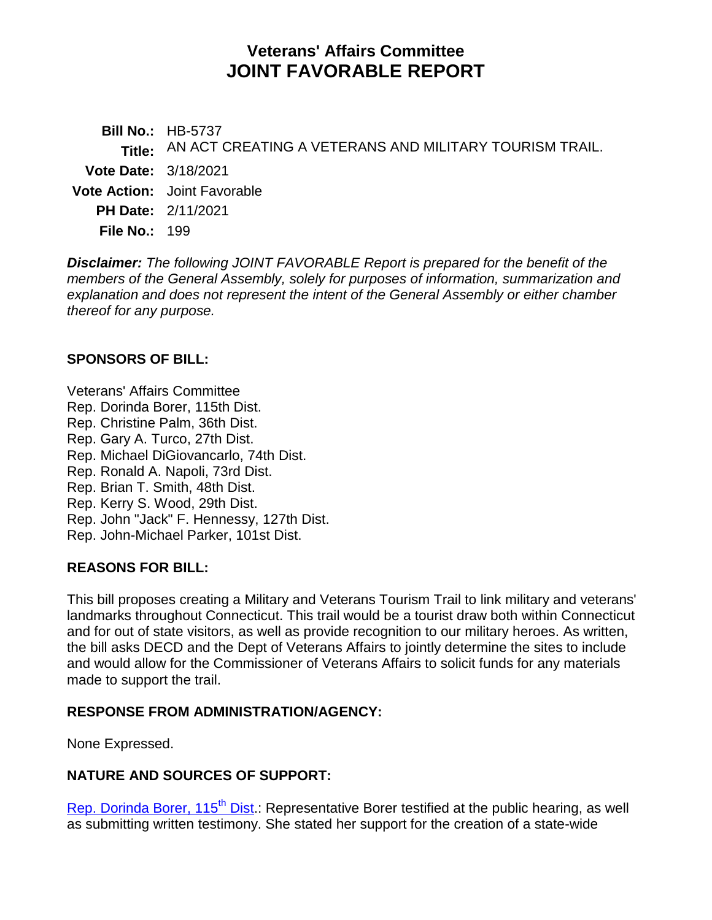# **Veterans' Affairs Committee JOINT FAVORABLE REPORT**

**Bill No.:** HB-5737 **Title:** AN ACT CREATING A VETERANS AND MILITARY TOURISM TRAIL. **Vote Date:** 3/18/2021 **Vote Action:** Joint Favorable **PH Date:** 2/11/2021 **File No.:** 199

*Disclaimer: The following JOINT FAVORABLE Report is prepared for the benefit of the members of the General Assembly, solely for purposes of information, summarization and explanation and does not represent the intent of the General Assembly or either chamber thereof for any purpose.*

## **SPONSORS OF BILL:**

Veterans' Affairs Committee Rep. Dorinda Borer, 115th Dist. Rep. Christine Palm, 36th Dist. Rep. Gary A. Turco, 27th Dist. Rep. Michael DiGiovancarlo, 74th Dist. Rep. Ronald A. Napoli, 73rd Dist. Rep. Brian T. Smith, 48th Dist. Rep. Kerry S. Wood, 29th Dist. Rep. John "Jack" F. Hennessy, 127th Dist. Rep. John-Michael Parker, 101st Dist.

## **REASONS FOR BILL:**

This bill proposes creating a Military and Veterans Tourism Trail to link military and veterans' landmarks throughout Connecticut. This trail would be a tourist draw both within Connecticut and for out of state visitors, as well as provide recognition to our military heroes. As written, the bill asks DECD and the Dept of Veterans Affairs to jointly determine the sites to include and would allow for the Commissioner of Veterans Affairs to solicit funds for any materials made to support the trail.

#### **RESPONSE FROM ADMINISTRATION/AGENCY:**

None Expressed.

## **NATURE AND SOURCES OF SUPPORT:**

Rep. Dorinda Borer,  $115<sup>th</sup>$  Dist.: Representative Borer testified at the public hearing, as well as submitting written testimony. She stated her support for the creation of a state-wide